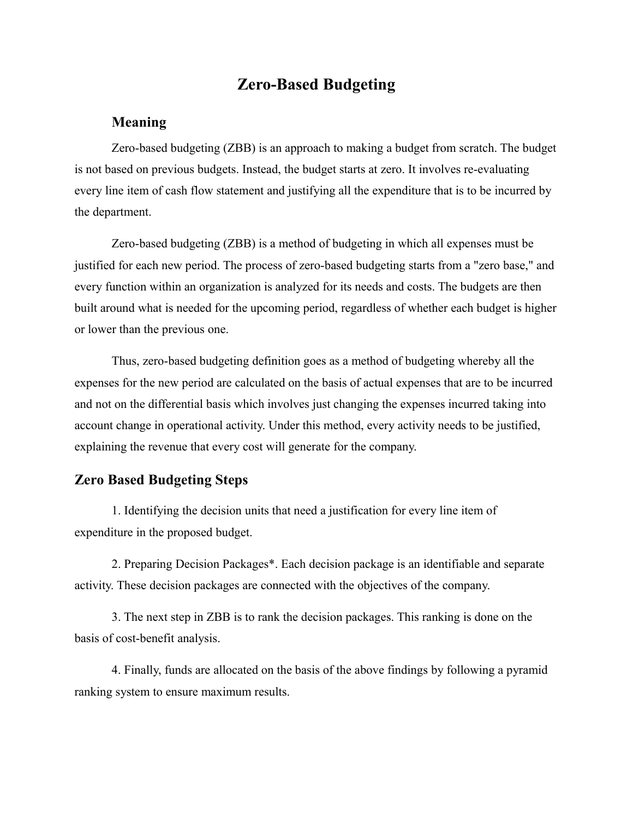# **Zero-Based Budgeting**

## **Meaning**

Zero-based budgeting (ZBB) is an approach to making a budget from scratch. The budget is not based on previous budgets. Instead, the budget starts at zero. It involves re-evaluating every line item of cash flow statement and justifying all the expenditure that is to be incurred by the department.

Zero-based budgeting (ZBB) is a method of budgeting in which all [expenses](https://www.investopedia.com/terms/e/expense.asp) must be justified for each new period. The process of zero-based budgeting starts from a "zero base," and every function within an organization is analyzed for its needs and costs. The budgets are then built around what is needed for the upcoming period, regardless of whether each budget is higher or lower than the previous one.

Thus, zero-based budgeting definition goes as a method of budgeting whereby all the expenses for the new period are calculated on the basis of actual expenses that are to be incurred and not on the differential basis which involves just changing the expenses incurred taking into account change in operational activity. Under this method, every activity needs to be justified, explaining the revenue that every cost will generate for the company.

#### **Zero Based Budgeting Steps**

1. Identifying the decision units that need a justification for every line item of expenditure in the proposed budget.

2. Preparing Decision Packages\*. Each decision package is an identifiable and separate activity. These decision packages are connected with the objectives of the company.

3. The next step in ZBB is to rank the decision packages. This ranking is done on the basis of cost-benefit analysis.

4. Finally, funds are allocated on the basis of the above findings by following a pyramid ranking system to ensure maximum results.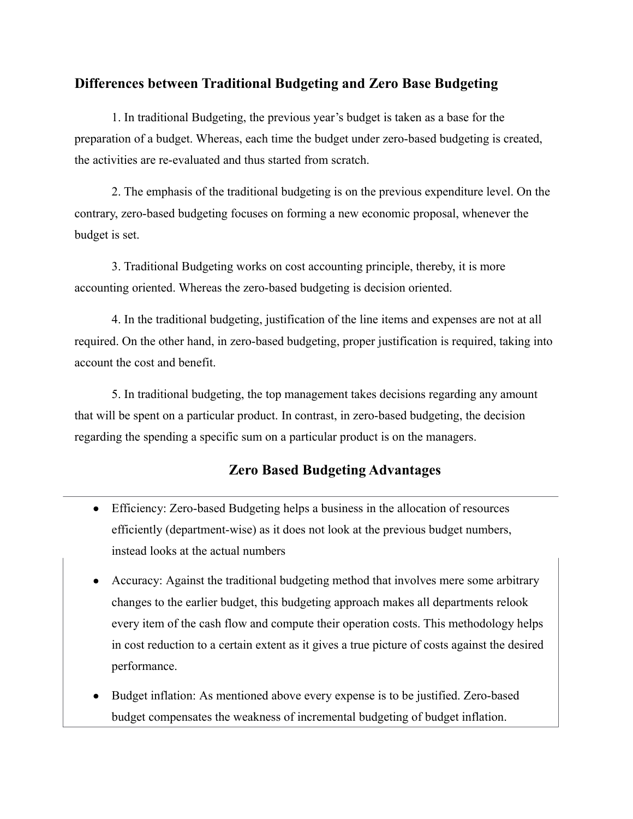### **Differences between Traditional Budgeting and Zero Base Budgeting**

1. In traditional Budgeting, the previous year's budget is taken as a base for the preparation of a budget. Whereas, each time the budget under zero-based budgeting is created, the activities are re-evaluated and thus started from scratch.

2. The emphasis of the traditional budgeting is on the previous expenditure level. On the contrary, zero-based budgeting focuses on forming a new economic proposal, whenever the budget is set.

3. Traditional Budgeting works on cost accounting principle, thereby, it is more accounting oriented. Whereas the zero-based budgeting is decision oriented.

4. In the traditional budgeting, justification of the line items and expenses are not at all required. On the other hand, in zero-based budgeting, proper justification is required, taking into account the cost and benefit.

5. In traditional budgeting, the top management takes decisions regarding any amount that will be spent on a particular product. In contrast, in zero-based budgeting, the decision regarding the spending a specific sum on a particular product is on the managers.

## **Zero Based Budgeting Advantages**

- Efficiency: Zero-based Budgeting helps a business in the allocation of resources efficiently (department-wise) as it does not look at the previous budget numbers, instead looks at the actual numbers
- Accuracy: Against the traditional budgeting method that involves mere some arbitrary changes to the earlier budget, this budgeting approach makes all departments relook every item of the cash flow and compute their operation costs. This methodology helps in cost reduction to a certain extent as it gives a true picture of costs against the desired performance.
- Budget inflation: As mentioned above every expense is to be justified. Zero-based budget compensates the weakness of incremental budgeting of budget inflation.